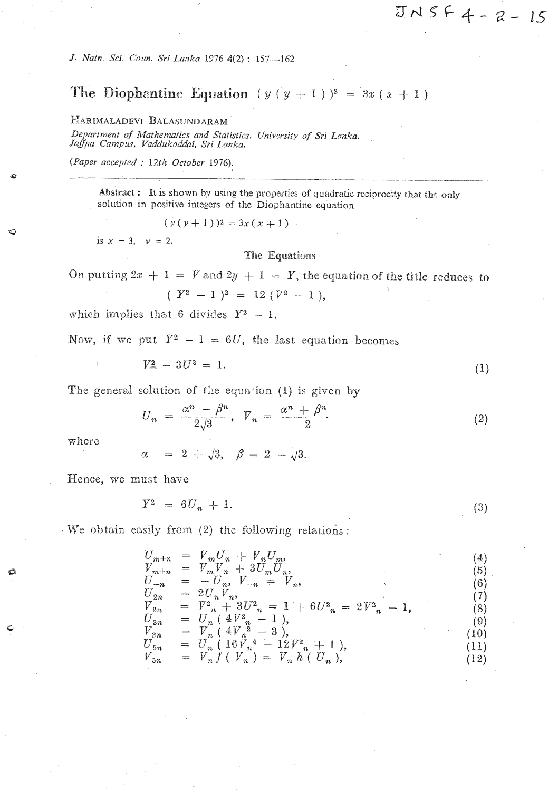J. Natn. Sci. Coun. Sri Lanka 1976 4(2): 157-162

# The Diophantine Equation  $(y (y + 1))^2 = 3x (x + 1)$

## HARIMALADEVI BALASUNDARAM

Department of Mathematics and Statistics, University of Sri Lanka. Jaffna Campus, Vaddukoddai, Sri Lanka.

(Paper accepted : 12th October 1976).

Abstract : It is shown by using the properties of quadratic reciprocity that the only solution in positive integers of the Diophantine equation

 $(y(y+1))^2 = 3x(x+1)$ 

is  $x = 3$ ,  $v = 2$ .

The Equations

On putting  $2x + 1 = V$  and  $2y + 1 = Y$ , the equation of the title reduces to

$$
(Y^2 - 1)^2 = 12 (Y^2 - 1).
$$

which implies that 6 divides  $Y^2 - 1$ .

Now, if we put  $Y^2 - 1 = 6U$ , the last equation becomes

$$
V^2 - 3U^2 = 1.
$$
 (1)

 $JNSF4 - 2 - 15$ 

The general solution of the equation (1) is given by

$$
U_n = \frac{\alpha^n - \beta^n}{2\sqrt{3}}, \quad V_n = \frac{\alpha^n + \beta^n}{2} \tag{2}
$$

where

 $\alpha = 2 + \sqrt{3}, \beta = 2 - \sqrt{3}.$ 

Hence, we must have

 $Y^2 = 6U_n + 1.$  $(3)$ 

We obtain easily from (2) the following relations:

$$
U_{m+n} = V_m U_n + V_n U_m, V' = V'V + 3I' I' I'
$$
\n(4)

$$
V_{m+n} = V_{m}V_{n} + 3U_{m}U_{n},
$$
  
\n
$$
U_{-n} = -U_{n}, V_{-n} = V_{n},
$$
  
\n
$$
V_{2n} = 2U_{n}V_{n},
$$
  
\n
$$
V_{2n} = V_{n}^{2} + 3U_{n}^{2} = 1 + 6U_{n}^{2} = 2V_{n}^{2} - 1,
$$
  
\n
$$
V_{3n} = U_{n} (4V_{n}^{2} - 1),
$$
  
\n
$$
V_{3n} = V_{n} (4V_{n}^{2} - 3),
$$
  
\n
$$
U_{5n} = U_{n} (16V_{n}^{4} - 12V_{n}^{2} + 1),
$$
  
\n
$$
V_{5n} = V_{n}f (V_{n}) = V_{n}h (U_{n}),
$$
  
\n(12)

$$
\begin{array}{lll} \n\delta^{n} & = & V_{n} \n\end{array} \n\begin{array}{lll} \n\delta^{n} & V_{n} \n\end{array} \n\begin{array}{lll} \n\delta^{n} & V_{n} \n\end{array} \n\begin{array}{lll} \n\delta^{n} & V_{n} \n\end{array} \n\begin{array}{lll} \n\delta^{n} & V_{n} \n\end{array} \n\end{array} \n\tag{1}
$$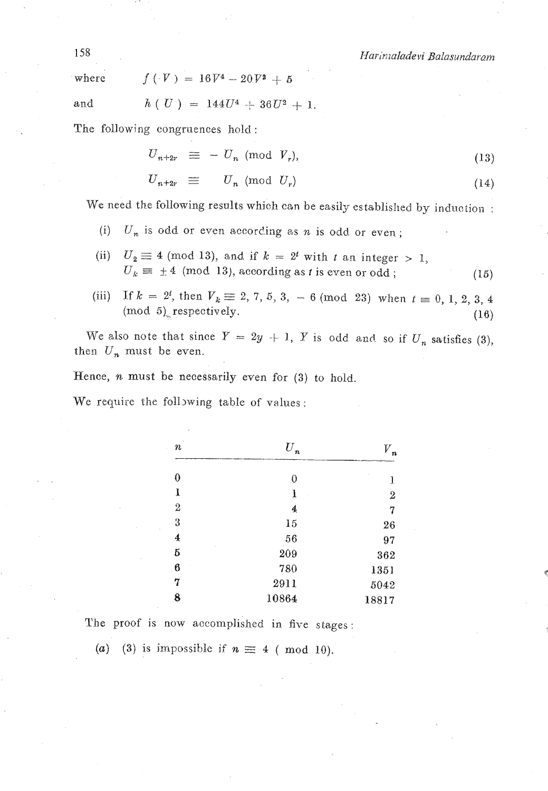Harimaladevi Balasundaram

where 
$$
f(V) = 16V^4 - 20V^2 + 5
$$

and  $h ( U ) = 144U^4 + 36U^2 + 1.$ 

The following congruences hold :

$$
U_{n+2r} \equiv -U_n \pmod{V_r},
$$
  
\n
$$
U_{n+2r} \equiv -U_n \pmod{V_r},
$$
  
\n
$$
U_{n+2r} \equiv U_n \pmod{U_r}
$$
 (14)

$$
U_{n+2r} \equiv U_n \pmod{U_r} \tag{14}
$$

We need the following results which can be easily established by induction :

- (i)  $U_n$  is odd or even according as n is odd or even;
- (ii)  $U_2 \equiv 4 \pmod{13}$ , and if  $k = 2^t$  with t an integer > 1,  $U_k \equiv \pm 4 \pmod{13}$ , according as *t* is even or odd ; *(15)*
- (iii) If  $k = 2^t$ , then  $V_k \equiv 2, 7, 5, 3, -6 \pmod{23}$  when  $t \equiv 0, 1, 2, 3, 4$ (mod 5)<sub>-</sub> respectively. **(16) (16)**

We also note that since  $Y = 2y + 1$ , Y is odd and so if  $U_n$  satisfies (3), then  $U_n$  must be even.

Hence, **n** must be necessarily even for **(3)** to hold.

We require the following table of values:

| $\it n$          | $\overline{U}_n$ | V     |
|------------------|------------------|-------|
| 0                | 0                | l     |
| ı                | ı                | $\,2$ |
| $\boldsymbol{2}$ | 4                | 7     |
| 3                | 15               | 26    |
| 4                | 56               | 97    |
| б                | 209              | 362   |
| 6                | 780              | 1351  |
| 7                | 2911             | 5042  |
| 8                | 10864            | 18817 |

The proof is now accomplished in five stages:

(a) (3) is impossible if  $n \equiv 4$  (mod 10).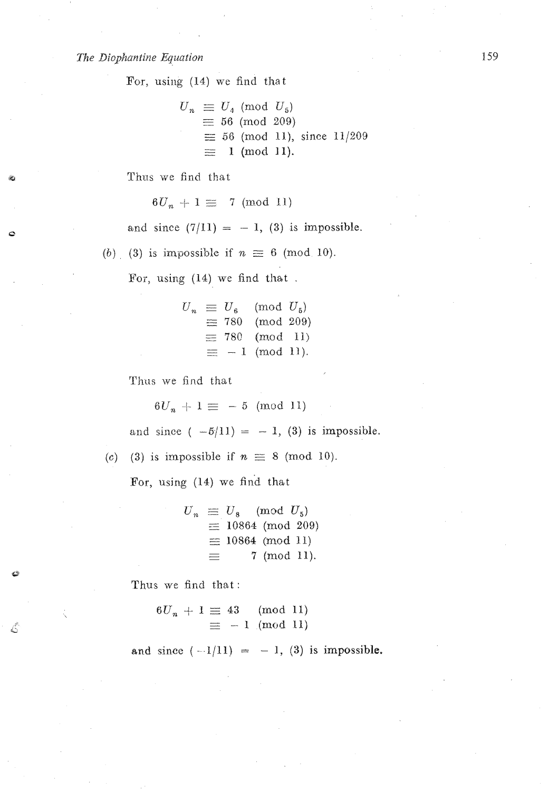#### *The Diophantine Equation*

For, using (14) we find that

$$
U_n \equiv U_4 \pmod{U_5}
$$
  
\n
$$
\equiv 56 \pmod{209}
$$
  
\n
$$
\equiv 56 \pmod{11}, \text{ since } 11/209
$$
  
\n
$$
\equiv 1 \pmod{11}.
$$

Thus we find that

 $6U_n + 1 \equiv 7 \pmod{11}$ 

and since  $(7/11) = -1$ , (3) is impossible.

(b) (3) is impossible if  $n \equiv 6 \pmod{10}$ .

**For,** using (14) we find that .

$$
U_n \equiv U_6 \pmod{U_5}
$$
  
\n
$$
\equiv 780 \pmod{209}
$$
  
\n
$$
\equiv 780 \pmod{11}
$$
  
\n
$$
\equiv -1 \pmod{11}.
$$

Thus we find that

 $6U_n + 1 \equiv -5 \pmod{11}$ 

and since  $(-5/11) = -1$ , (3) is impossible.

(c) (3) is impossible if  $n \equiv 8 \pmod{10}$ .

For, using (14) we find that

 $U_n \equiv U_8 \pmod{U_5}$  $\equiv$  10864 (mod 209)  $\equiv$  10864 (mod 11)<br>  $\equiv$  7 (mod 11).  $\equiv$  7 (mod 11).

Thus we find that:

 $\mathcal{L}^2$ 

6

$$
6U_n + 1 \equiv 43 \pmod{11}
$$

$$
\equiv -1 \pmod{11}
$$

and since  $(-1/11) = -1$ , (3) is impossible.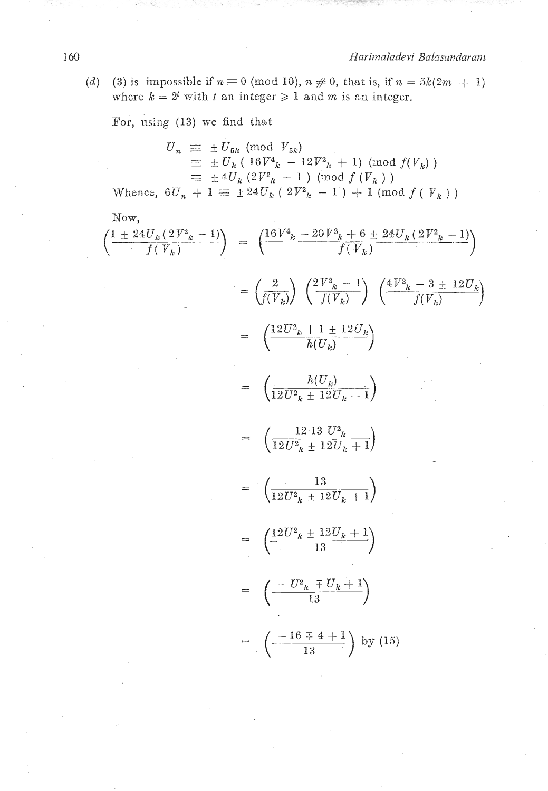(d) (3) is impossible if  $n \equiv 0 \pmod{10}$ ,  $n \neq 0$ , that is, if  $n = 5k(2m + 1)$ where  $k = 2^t$  with *t* an integer  $\geq 1$  and *m* is an integer.

For, using (13) we find that

$$
U_n \equiv \pm U_{5k} \pmod{V_{5k}}
$$
  
\n
$$
\equiv \pm U_k (16V_{k} - 12V_{k}^2 + 1) \pmod{f(V_k)}
$$
  
\n
$$
\equiv \pm 4U_k (2V_{k}^2 - 1) \pmod{f(V_k)}
$$

Whence,  $6U_n + 1 \equiv \pm 24U_k (2V_{k-1}) + 1 \pmod{f(V_{k-1})}$ 

Now,

$$
\left(\frac{1 \pm 24U_k(2V^2 - 1)}{f(V_k)}\right) = \left(\frac{16V^4 - 20V^2 - 6 \pm 24U_k(2V^2 - 1)}{f(V_k)}\right)
$$

$$
= \left(\frac{2}{f(V_k)}\right)\left(\frac{2V^2 - 1}{f(V_k)}\right)\left(\frac{4V^2 - 3 \pm 12U_k}{f(V_k)}\right)
$$

$$
= \left(\frac{12U^2 - 1 \pm 12U_k}{h(U_k)}\right)
$$

$$
= \left(\frac{h(U_k)}{h(U_k)}\right)
$$

$$
= \left(\frac{h(U_k)}{12U^2 - 12U_k + 1}\right)
$$

$$
= \left(\frac{12.13 U^2 - 12U_k + 1}{12U^2 - 12U_k + 1}\right)
$$

$$
= \left(\frac{13}{12U^2 - 12U_k + 1}\right)
$$

$$
= \left(\frac{12U^2 - 12U_k + 1}{13}\right)
$$

$$
= \left(\frac{12U^2 - 12U_k + 1}{13}\right)
$$

$$
= \left(\frac{-U^2 - 7U_k + 1}{13}\right)
$$

$$
= \left(\frac{-U^2 - 7U_k + 1}{13}\right)
$$
by (15)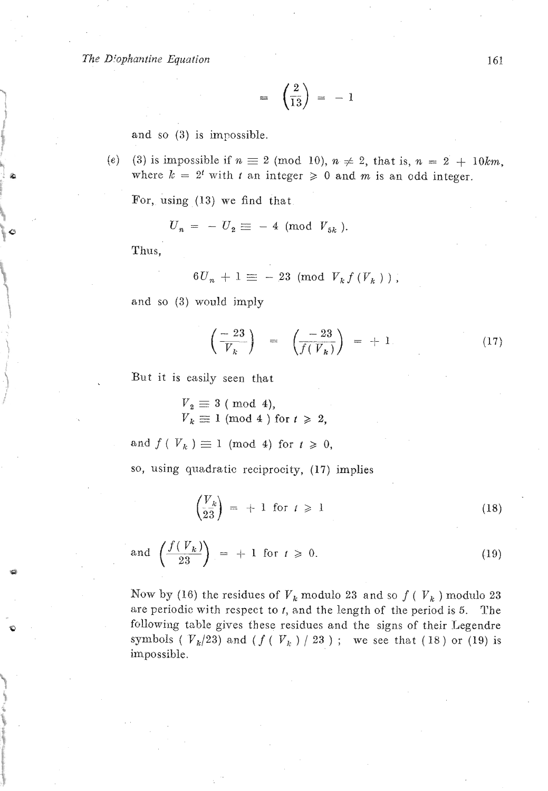*The Dfopkantine Equation* 

$$
= \left(\frac{2}{13}\right) = -1
$$

and so (3) is impossible.

*(e)* **(3)** is impossible if n *2* (mod *lo), n* # *2,* that is, **n** = 2 + *IOkm,*  where  $k = 2^t$  with *t* an integer  $\geq 0$  and *m* is an odd integer.

For, using (13) we find that  

$$
U_n = -U_2 \equiv -4 \pmod{V_{5k}}.
$$

Thus,

$$
6U_n + 1 \equiv -23 \pmod{V_k f(V_k)}
$$

and so **(3)** would jmply

$$
\left(\frac{-23}{V_k}\right) = \left(\frac{-23}{f(V_k)}\right) = +1. \tag{17}
$$

But it is easily seen that

 $V_2 \equiv 3 \pmod{4}$ ,  $V_k \equiv 1 \pmod{4}$  for  $t \ge 2$ ,

and  $f(V_k) \equiv 1 \pmod{4}$  for  $t \ge 0$ ,

so, using quadratic reciprocity, (17) implies

$$
\left(\frac{V_k}{23}\right) = +1 \text{ for } t \geqslant 1 \tag{18}
$$

and 
$$
\left(\frac{f(V_k)}{23}\right) = +1 \text{ for } t \geq 0.
$$
 (19)

Now by (16) the residues of  $V_k$  modulo 23 and so  $f(V_k)$  modulo 23 are periodic with respect to *t,* and the length of the period is 5. The following table gives these residues and the signs of their Legendre symbols ( $V_k/23$ ) and ( $f(V_k)/23$ ); we see that (18) or (19) is impossible.